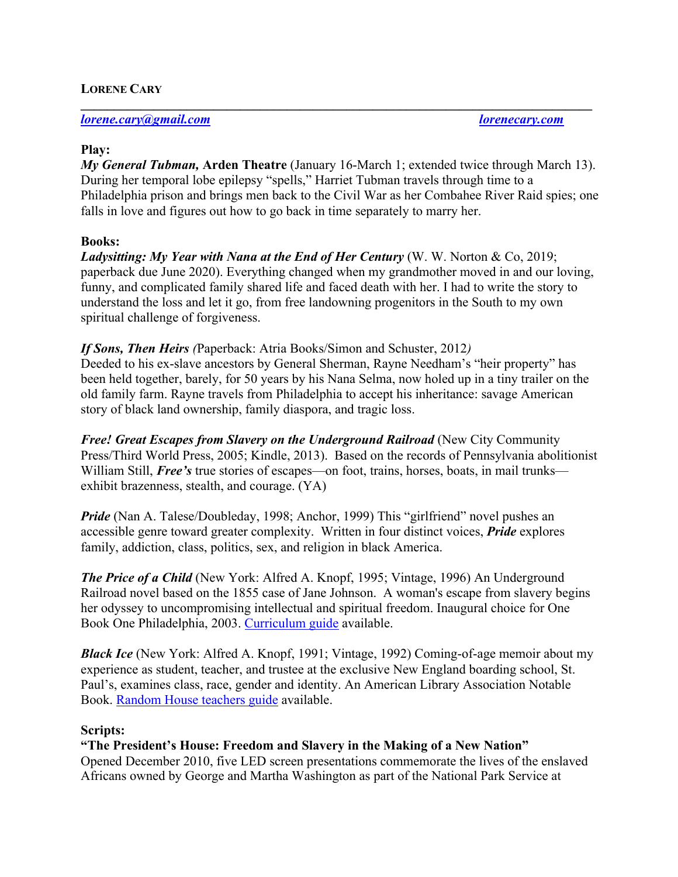## **LORENE CARY**

*lorene.cary@gmail.com lorenecary.com*

#### **Play:**

*My General Tubman,* **Arden Theatre** (January 16-March 1; extended twice through March 13). During her temporal lobe epilepsy "spells," Harriet Tubman travels through time to a Philadelphia prison and brings men back to the Civil War as her Combahee River Raid spies; one falls in love and figures out how to go back in time separately to marry her.

**\_\_\_\_\_\_\_\_\_\_\_\_\_\_\_\_\_\_\_\_\_\_\_\_\_\_\_\_\_\_\_\_\_\_\_\_\_\_\_\_\_\_\_\_\_\_\_\_\_\_\_\_\_\_\_\_\_\_\_\_\_\_\_\_\_\_\_\_\_\_\_\_\_\_\_\_\_**

#### **Books:**

*Ladysitting: My Year with Nana at the End of Her Century* (W. W. Norton & Co, 2019; paperback due June 2020). Everything changed when my grandmother moved in and our loving, funny, and complicated family shared life and faced death with her. I had to write the story to understand the loss and let it go, from free landowning progenitors in the South to my own spiritual challenge of forgiveness.

### *If Sons, Then Heirs (*Paperback: Atria Books/Simon and Schuster, 2012*)*

Deeded to his ex-slave ancestors by General Sherman, Rayne Needham's "heir property" has been held together, barely, for 50 years by his Nana Selma, now holed up in a tiny trailer on the old family farm. Rayne travels from Philadelphia to accept his inheritance: savage American story of black land ownership, family diaspora, and tragic loss.

*Free! Great Escapes from Slavery on the Underground Railroad* (New City Community Press/Third World Press, 2005; Kindle, 2013). Based on the records of Pennsylvania abolitionist William Still, *Free's* true stories of escapes—on foot, trains, horses, boats, in mail trunks exhibit brazenness, stealth, and courage. (YA)

*Pride* (Nan A. Talese/Doubleday, 1998; Anchor, 1999) This "girlfriend" novel pushes an accessible genre toward greater complexity. Written in four distinct voices, *Pride* explores family, addiction, class, politics, sex, and religion in black America.

*The Price of a Child* (New York: Alfred A. Knopf, 1995; Vintage, 1996) An Underground Railroad novel based on the 1855 case of Jane Johnson. A woman's escape from slavery begins her odyssey to uncompromising intellectual and spiritual freedom. Inaugural choice for One Book One Philadelphia, 2003. Curriculum guide available.

*Black Ice* (New York: Alfred A. Knopf, 1991; Vintage, 1992) Coming-of-age memoir about my experience as student, teacher, and trustee at the exclusive New England boarding school, St. Paul's, examines class, race, gender and identity. An American Library Association Notable Book. Random House teachers guide available.

### **Scripts:**

### **"The President's House: Freedom and Slavery in the Making of a New Nation"**

Opened December 2010, five LED screen presentations commemorate the lives of the enslaved Africans owned by George and Martha Washington as part of the National Park Service at